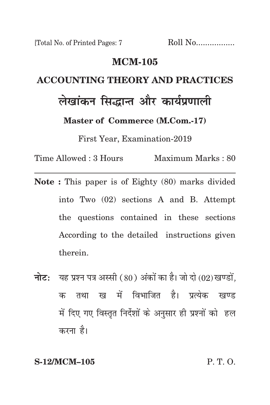#### **mcm-105**

# **accounting theory and practices लेखांकन सिद्धान्त और कार्यप्रणाली**

**Master of Commerce (M.Com.-17)**

First Year, Examination-2019

Time Allowed : 3 Hours Maximum Marks : 80

- **Note :** This paper is of Eighty (80) marks divided into Two (02) sections A and B. Attempt the questions contained in these sections According to the detailed instructions given therein.
- **नोट:** यह प्रश्न पत्र अस्सी (80) अंकों का है। जो दो (02) खण्डों, क तथा ख में विभाजित है। प्रत्येक खण्ड में दिए गए विस्तृत निर्देशों के अनुसार ही प्रश्नों को हल करना है।

**S-12/MCM–105** P. T. O.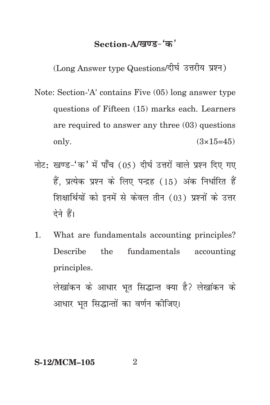### Section-A/<u>खण्ड-</u>'क'

(Long Answer type Questions/दीर्घ उत्तरीय प्रश्न)

- Note: Section-'A' contains Five (05) long answer type questions of Fifteen (15) marks each. Learners are required to answer any three (03) questions only.  $(3 \times 15 = 45)$
- नोट: खण्ड-'क' में पाँच (05) दीर्घ उत्तरों वाले प्रश्न दिए गए हैं. प्रत्येक प्रश्न के लिए पन्द्रह (15) अंक निर्धारित हैं शिक्षार्थियों को इनमें से केवल तीन (03) प्रश्नों के उत्तर देने हैं।
- 1. What are fundamentals accounting principles? Describe the fundamentals accounting principles.

लेखांकन के आधार भूत सिद्धान्त क्या है? लेखांकन के आधार भूत सिद्धान्तों का वर्णन कीजिए।

**S-12/MCM-105** 2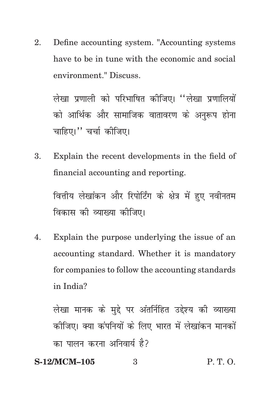Define accounting system. "Accounting systems 2. have to be in tune with the economic and social environment." Discuss.

लेखा प्रणाली को परिभाषित कीजिए। ''लेखा प्रणालियों को आर्थिक और सामाजिक वातावरण के अनुरूप होना चाहिए।" चर्चा कीजिए।

 $3.$ Explain the recent developments in the field of financial accounting and reporting.

वित्तीय लेखांकन और रिपोर्टिंग के क्षेत्र में हुए नवीनतम विकास की व्याख्या कोजिए।

Explain the purpose underlying the issue of an  $\mathbf{4}$ . accounting standard. Whether it is mandatory for companies to follow the accounting standards in India?

लेखा मानक के मुद्दे पर अंतर्निहित उद्देश्य की व्याख्या कीजिए। क्या कंपनियों के लिए भारत में लेखांकन मानकों का पालन करना अनिवार्य है?

#### S-12/MCM-105  $P, T, O.$  $\mathcal{S}$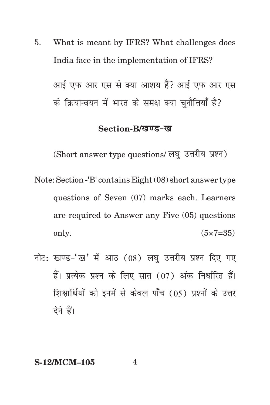5. What is meant by IFRS? What challenges does India face in the implementation of IFRS?

आई एफ आर एस से क्या आशय हैं? आई एफ आर एस के क्रियान्वयन में भारत के समक्ष क्या चनौत्तियाँ है?

#### Section-B/*खण्ड-ख*

(Short answer type questions/ लघु उत्तरीय प्रश्न)

Note: Section -'B' contains Eight (08) short answer type questions of Seven (07) marks each. Learners are required to Answer any Five (05) questions only.  $(5 \times 7 = 35)$ 

नोट: खण्ड-'ख' में आठ  $(08)$  लघु उत्तरीय प्रश्न दिए गए हैं। प्रत्येक प्रश्न के लिए सात (07) अंक निर्धारित हैं। शिक्षार्थियों को इनमें से केवल पाँच (05) प्रश्नों के उत्तर देने हैं।

#### **S-12/MCM–105** 4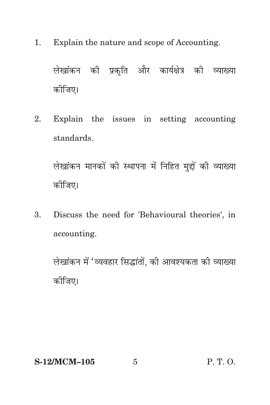1. Explain the nature and scope of Accounting.

लेखांकन की प्रकृति और कार्यक्षेत्र की व्याख्या कोजिए।

2. Explain the issues in setting accounting standards.

लेखांकन मानकों की स्थापना में निहित मुद्दों की व्याख्या कोजिए।

3. Discuss the need for 'Behavioural theories', in accounting.

लेखांकन में 'व्यवहार सिद्धांतों, की आवश्यकता की व्याख्या कोजिए।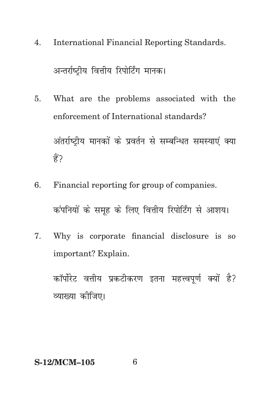- **International Financial Reporting Standards.** 4. अन्तर्राष्टीय वित्तीय रिपोर्टिंग मानक।
- What are the problems associated with the 5. enforcement of International standards? अंतर्राष्टीय मानकों के प्रवर्तन से सम्बन्धित समस्याएं क्या ੜ੍ਹੇ?
- Financial reporting for group of companies.  $6<sup>1</sup>$

कंपनियों के समृह के लिए वित्तीय रिपोर्टिंग से आशय।

7. Why is corporate financial disclosure is so important? Explain.

कॉर्पोरेट वत्तीय प्रकटीकरण इतना महत्त्वपूर्ण क्यों है? व्याख्या कीजिए।

#### **S-12/MCM-105**